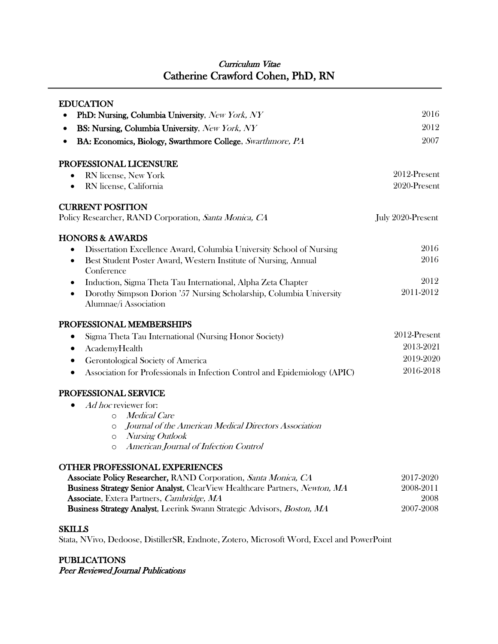# Curriculum Vitae Catherine Crawford Cohen, PhD, RN

| <b>EDUCATION</b>                                                                                                         |                   |
|--------------------------------------------------------------------------------------------------------------------------|-------------------|
| PhD: Nursing, Columbia University, New York, NY                                                                          | 2016              |
| BS: Nursing, Columbia University, New York, NY<br>٠                                                                      | 2012              |
| BA: Economics, Biology, Swarthmore College, Swarthmore, PA<br>$\bullet$                                                  | 2007              |
| PROFESSIONAL LICENSURE                                                                                                   |                   |
| RN license, New York                                                                                                     | 2012-Present      |
| RN license, California                                                                                                   | 2020-Present      |
| <b>CURRENT POSITION</b>                                                                                                  |                   |
| Policy Researcher, RAND Corporation, Santa Monica, CA                                                                    | July 2020-Present |
| <b>HONORS &amp; AWARDS</b>                                                                                               |                   |
| Dissertation Excellence Award, Columbia University School of Nursing                                                     | 2016              |
| Best Student Poster Award, Western Institute of Nursing, Annual<br>٠<br>Conference                                       | 2016              |
| Induction, Sigma Theta Tau International, Alpha Zeta Chapter                                                             | 2012              |
| Dorothy Simpson Dorion '57 Nursing Scholarship, Columbia University<br>$\bullet$<br>Alumnae/i Association                | 2011-2012         |
| PROFESSIONAL MEMBERSHIPS                                                                                                 |                   |
| Sigma Theta Tau International (Nursing Honor Society)                                                                    | 2012-Present      |
| AcademyHealth                                                                                                            | 2013-2021         |
| Gerontological Society of America                                                                                        | 2019-2020         |
| Association for Professionals in Infection Control and Epidemiology (APIC)                                               | 2016-2018         |
| PROFESSIONAL SERVICE                                                                                                     |                   |
| Ad hoc reviewer for:                                                                                                     |                   |
| <i>Medical Care</i><br>$\Omega$                                                                                          |                   |
| Journal of the American Medical Directors Association<br>O                                                               |                   |
| Nursing Outlook<br>$\circ$<br>American Journal of Infection Control                                                      |                   |
| $\circ$                                                                                                                  |                   |
| <b>OTHER PROFESSIONAL EXPERIENCES</b>                                                                                    |                   |
| Associate Policy Researcher, RAND Corporation, Santa Monica, CA                                                          | 2017-2020         |
| Business Strategy Senior Analyst, ClearView Healthcare Partners, Newton, MA<br>Associate, Extera Partners, Cambridge, MA | 2008-2011<br>2008 |
| Business Strategy Analyst, Leerink Swann Strategic Advisors, Boston, MA                                                  | 2007-2008         |
| <b>SKILLS</b>                                                                                                            |                   |

Stata, NVivo, Dedoose, DistillerSR, Endnote, Zotero, Microsoft Word, Excel and PowerPoint

# PUBLICATIONS

Peer Reviewed Journal Publications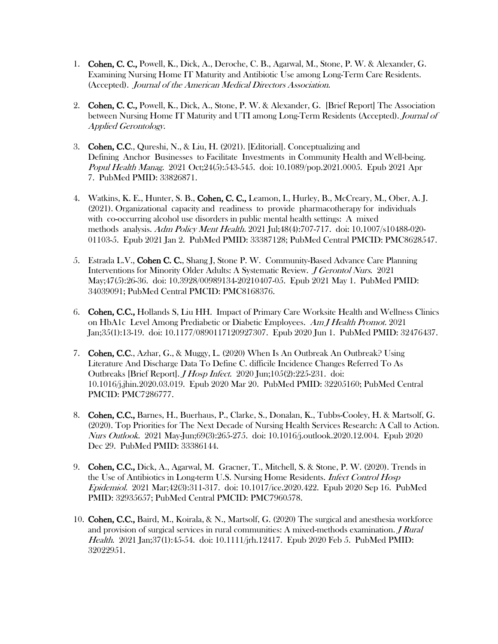- 1. Cohen, C. C., Powell, K., Dick, A., Deroche, C. B., Agarwal, M., Stone, P. W. & Alexander, G. Examining Nursing Home IT Maturity and Antibiotic Use among Long-Term Care Residents. (Accepted). Journal of the American Medical Directors Association.
- 2. Cohen, C. C., Powell, K., Dick, A., Stone, P. W. & Alexander, G. [Brief Report] The Association between Nursing Home IT Maturity and UTI among Long-Term Residents (Accepted). Journal of Applied Gerontology.
- 3. Cohen, C.C., Qureshi, N., & Liu, H. (2021). [Editorial]. Conceptualizing and Defining Anchor Businesses to Facilitate Investments in Community Health and Well-being. Popul Health Manag. 2021 Oct;24(5):543-545. doi: 10.1089/pop.2021.0005. Epub 2021 Apr 7. PubMed PMID: 33826871.
- 4. Watkins, K. E., Hunter, S. B., Cohen, C. C., Leamon, I., Hurley, B., McCreary, M., Ober, A. J. (2021). Organizational capacity and readiness to provide pharmacotherapy for individuals with co-occurring alcohol use disorders in public mental health settings: A mixed methods analysis. Adm Policy Ment Health. 2021 Jul;48(4):707-717. doi: 10.1007/s10488-020-01103-5. Epub 2021 Jan 2. PubMed PMID: 33387128; PubMed Central PMCID: PMC8628547.
- 5. Estrada L.V., Cohen C.C., Shang J, Stone P.W. Community-Based Advance Care Planning Interventions for Minority Older Adults: A Systematic Review. J Gerontol Nurs. 2021 May;47(5):26-36. doi: 10.3928/00989134-20210407-05. Epub 2021 May 1. PubMed PMID: 34039091; PubMed Central PMCID: PMC8168376.
- 6. Cohen, C.C., Hollands S, Liu HH. Impact of Primary Care Worksite Health and Wellness Clinics on HbA1c Level Among Prediabetic or Diabetic Employees. Am J Health Promot. 2021 Jan;35(1):13-19. doi: 10.1177/0890117120927307. Epub 2020 Jun 1. PubMed PMID: 32476437.
- 7. Cohen, C.C., Azhar, G., & Muggy, L. (2020) When Is An Outbreak An Outbreak? Using Literature And Discharge Data To Define C. difficile Incidence Changes Referred To As Outbreaks [Brief Report]. J Hosp Infect. 2020 Jun;105(2):225-231. doi: 10.1016/j.jhin.2020.03.019. Epub 2020 Mar 20. PubMed PMID: 32205160; PubMed Central PMCID: PMC7286777.
- 8. Cohen, C.C., Barnes, H., Buerhaus, P., Clarke, S., Donalan, K., Tubbs-Cooley, H. & Martsolf, G. (2020). Top Priorities for The Next Decade of Nursing Health Services Research: A Call to Action. Nurs Outlook. 2021 May-Jun;69(3):265-275. doi: 10.1016/j.outlook.2020.12.004. Epub 2020 Dec 29. PubMed PMID: 33386144.
- 9. Cohen, C.C., Dick, A., Agarwal, M. Gracner, T., Mitchell, S. & Stone, P. W. (2020). Trends in the Use of Antibiotics in Long-term U.S. Nursing Home Residents. Infect Control Hosp Epidemiol. 2021 Mar;42(3):311-317. doi: 10.1017/ice.2020.422. Epub 2020 Sep 16. PubMed PMID: 32935657; PubMed Central PMCID: PMC7960578.
- 10. Cohen, C.C., Baird, M., Koirala, & N., Martsolf, G. (2020) The surgical and anesthesia workforce and provision of surgical services in rural communities: A mixed-methods examination. *J Rural* Health. 2021 Jan;37(1):45-54. doi: 10.1111/jrh.12417. Epub 2020 Feb 5. PubMed PMID: 32022951.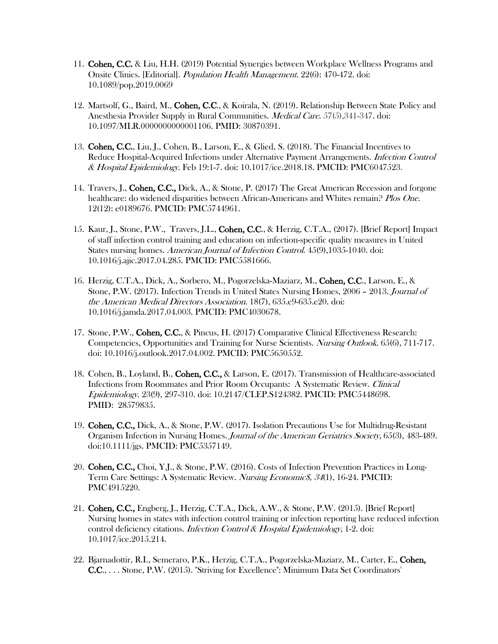- 11. Cohen, C.C. & Liu, H.H. (2019) Potential Synergies between Workplace Wellness Programs and Onsite Clinics. [Editorial]. Population Health Management. 22(6): 470-472. doi: 10.1089/pop.2019.0069
- 12. Martsolf, G., Baird, M., Cohen, C.C., & Koirala, N. (2019). Relationship Between State Policy and Anesthesia Provider Supply in Rural Communities. Medical Care. 57(5),341-347. doi: 10.1097/MLR.0000000000001106. PMID: 30870391.
- 13. Cohen, C.C., Liu, J., Cohen, B., Larson, E., & Glied, S. (2018). The Financial Incentives to Reduce Hospital-Acquired Infections under Alternative Payment Arrangements. Infection Control & Hospital Epidemiology. Feb 19:1-7. doi: 10.1017/ice.2018.18. PMCID: PMC6047523.
- 14. Travers, J., Cohen, C.C., Dick, A., & Stone, P. (2017) The Great American Recession and forgone healthcare: do widened disparities between African-Americans and Whites remain? Plos One. 12(12): e0189676. PMCID: PMC5744961.
- 15. Kaur, J., Stone, P.W., Travers, J.L., Cohen, C.C., & Herzig, C.T.A., (2017). [Brief Report] Impact of staff infection control training and education on infection-specific quality measures in United States nursing homes. American Journal of Infection Control. 45(9),1035-1040. doi: 10.1016/j.ajic.2017.04.285. PMCID: PMC5581666.
- 16. Herzig, C.T.A., Dick, A., Sorbero, M., Pogorzelska-Maziarz, M., Cohen, C.C., Larson, E., & Stone, P.W. (2017). Infection Trends in United States Nursing Homes, 2006 – 2013. Journal of the American Medical Directors Association. 18(7), 635.e9-635.e20. doi: 10.1016/j.jamda.2017.04.003. PMCID: PMC4030678.
- 17. Stone, P.W., Cohen, C.C., & Pincus, H. (2017) Comparative Clinical Effectiveness Research: Competencies, Opportunities and Training for Nurse Scientists. Nursing Outlook. 65(6), 711-717. doi: 10.1016/j.outlook.2017.04.002. PMCID: PMC5650552.
- 18. Cohen, B., Loyland, B., Cohen, C.C., & Larson, E. (2017). Transmission of Healthcare-associated Infections from Roommates and Prior Room Occupants: A Systematic Review. Clinical Epidemiology. 23(9), 297-310. doi: 10.2147/CLEP.S124382. PMCID: PMC5448698. PMID: 28579835.
- 19. Cohen, C.C., Dick, A., & Stone, P.W. (2017). Isolation Precautions Use for Multidrug-Resistant Organism Infection in Nursing Homes. Journal of the American Geriatrics Society, 65(3), 483-489. doi:10.1111/jgs. PMCID: PMC5357149.
- 20. Cohen, C.C., Choi, Y.J., & Stone, P.W. (2016). Costs of Infection Prevention Practices in Long-Term Care Settings: A Systematic Review. Nursing Economics, 34(1), 16-24. PMCID: PMC4915220.
- 21. Cohen, C.C., Engberg, J., Herzig, C.T.A., Dick, A.W., & Stone, P.W. (2015). [Brief Report] Nursing homes in states with infection control training or infection reporting have reduced infection control deficiency citations. Infection Control & Hospital Epidemiology, 1-2. doi: 10.1017/ice.2015.214.
- 22. Bjarnadottir, R.I., Semeraro, P.K., Herzig, C.T.A., Pogorzelska-Maziarz, M., Carter, E., Cohen, C.C., . . . Stone, P.W. (2015). "Striving for Excellence": Minimum Data Set Coordinators'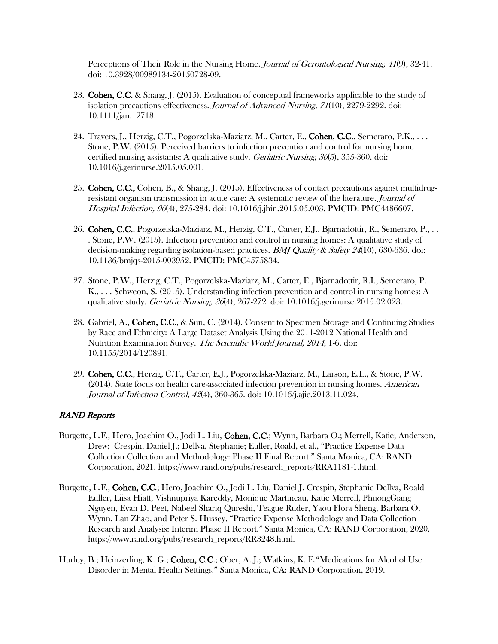Perceptions of Their Role in the Nursing Home. Journal of Gerontological Nursing, 41(9), 32-41. doi: 10.3928/00989134-20150728-09.

- 23. Cohen, C.C. & Shang, J. (2015). Evaluation of conceptual frameworks applicable to the study of isolation precautions effectiveness. Journal of Advanced Nursing, 71(10), 2279-2292. doi: 10.1111/jan.12718.
- 24. Travers, J., Herzig, C.T., Pogorzelska-Maziarz, M., Carter, E., Cohen, C.C., Semeraro, P.K., . . . Stone, P.W. (2015). Perceived barriers to infection prevention and control for nursing home certified nursing assistants: A qualitative study. Geriatric Nursing, 36(5), 355-360. doi: 10.1016/j.gerinurse.2015.05.001.
- 25. Cohen, C.C., Cohen, B., & Shang, J. (2015). Effectiveness of contact precautions against multidrugresistant organism transmission in acute care: A systematic review of the literature. Journal of Hospital Infection, 90(4), 275-284. doi: 10.1016/j.jhin.2015.05.003. PMCID: PMC4486607.
- 26. Cohen, C.C., Pogorzelska-Maziarz, M., Herzig, C.T., Carter, E.J., Bjarnadottir, R., Semeraro, P., . . . Stone, P.W. (2015). Infection prevention and control in nursing homes: A qualitative study of decision-making regarding isolation-based practices. *BMJ Quality & Safety 24*(10), 630-636. doi: 10.1136/bmjqs-2015-003952. PMCID: PMC4575834.
- 27. Stone, P.W., Herzig, C.T., Pogorzelska-Maziarz, M., Carter, E., Bjarnadottir, R.I., Semeraro, P. K., . . . Schweon, S. (2015). Understanding infection prevention and control in nursing homes: A qualitative study. *Geriatric Nursing, 36*(4), 267-272. doi: 10.1016/j.gerinurse.2015.02.023.
- 28. Gabriel, A., Cohen, C.C., & Sun, C. (2014). Consent to Specimen Storage and Continuing Studies by Race and Ethnicity: A Large Dataset Analysis Using the 2011-2012 National Health and Nutrition Examination Survey. The Scientific World Journal, 2014, 1-6. doi: 10.1155/2014/120891.
- 29. Cohen, C.C., Herzig, C.T., Carter, E.J., Pogorzelska-Maziarz, M., Larson, E.L., & Stone, P.W. (2014). State focus on health care-associated infection prevention in nursing homes. American Journal of Infection Control, 42(4), 360-365. doi: 10.1016/j.ajic.2013.11.024.

# RAND Reports

- Burgette, L.F., Hero, Joachim O., Jodi L. Liu, Cohen, C.C.; Wynn, Barbara O.; Merrell, Katie; Anderson, Drew; Crespin, Daniel J.; Dellva, Stephanie; Euller, Roald, et al., "Practice Expense Data Collection Collection and Methodology: Phase II Final Report." Santa Monica, CA: RAND Corporation, 2021. https://www.rand.org/pubs/research\_reports/RRA1181-1.html.
- Burgette, L.F., Cohen, C.C.; Hero, Joachim O., Jodi L. Liu, Daniel J. Crespin, Stephanie Dellva, Roald Euller, Liisa Hiatt, Vishnupriya Kareddy, Monique Martineau, Katie Merrell, PhuongGiang Nguyen, Evan D. Peet, Nabeel Shariq Qureshi, Teague Ruder, Yaou Flora Sheng, Barbara O. Wynn, Lan Zhao, and Peter S. Hussey, "Practice Expense Methodology and Data Collection Research and Analysis: Interim Phase II Report." Santa Monica, CA: RAND Corporation, 2020. https://www.rand.org/pubs/research\_reports/RR3248.html.
- Hurley, B.; Heinzerling, K. G.; Cohen, C.C.; Ober, A. J.; Watkins, K. E."Medications for Alcohol Use Disorder in Mental Health Settings." Santa Monica, CA: RAND Corporation, 2019.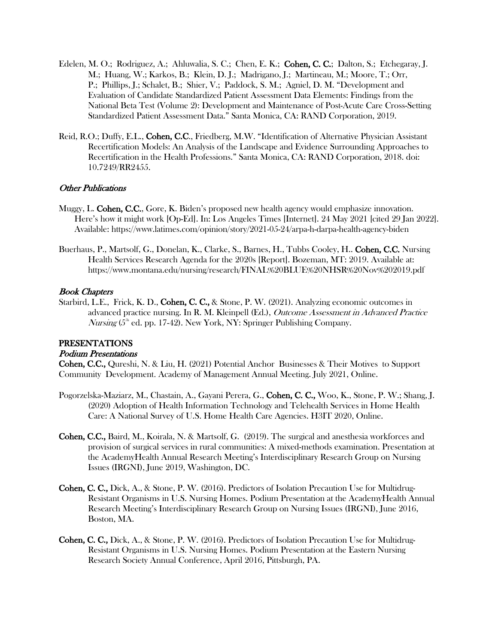- Edelen, M. O.; Rodriguez, A.; Ahluwalia, S. C.; Chen, E. K.; Cohen, C. C.; Dalton, S.; Etchegaray, J. M.; Huang, W.; Karkos, B.; Klein, D. J.; Madrigano, J.; Martineau, M.; Moore, T.; Orr, P.; Phillips, J.; Schalet, B.; Shier, V.; Paddock, S. M.; Agniel, D. M. "Development and Evaluation of Candidate Standardized Patient Assessment Data Elements: Findings from the National Beta Test (Volume 2): Development and Maintenance of Post-Acute Care Cross-Setting Standardized Patient Assessment Data." Santa Monica, CA: RAND Corporation, 2019.
- Reid, R.O.; Duffy, E.L., Cohen, C.C., Friedberg, M.W. "Identification of Alternative Physician Assistant Recertification Models: An Analysis of the Landscape and Evidence Surrounding Approaches to Recertification in the Health Professions." Santa Monica, CA: RAND Corporation, 2018. doi: 10.7249/RR2455.

# Other Publications

- Muggy, L. Cohen, C.C., Gore, K. Biden's proposed new health agency would emphasize innovation. Here's how it might work [Op-Ed]. In: Los Angeles Times [Internet]. 24 May 2021 [cited 29 Jan 2022]. Available: https://www.latimes.com/opinion/story/2021-05-24/arpa-h-darpa-health-agency-biden
- Buerhaus, P., Martsolf, G., Donelan, K., Clarke, S., Barnes, H., Tubbs Cooley, H.. Cohen, C.C. Nursing Health Services Research Agenda for the 2020s [Report]. Bozeman, MT: 2019. Available at: https://www.montana.edu/nursing/research/FINAL%20BLUE%20NHSR%20Nov%202019.pdf

#### Book Chapters

Starbird, L.E., Frick, K. D., Cohen, C. C., & Stone, P. W. (2021). Analyzing economic outcomes in advanced practice nursing. In R. M. Kleinpell (Ed.), Outcome Assessment in Advanced Practice *Nursing* ( $5<sup>th</sup>$  ed. pp. 17-42). New York, NY: Springer Publishing Company.

#### PRESENTATIONS

#### Podium Presentations

Cohen, C.C., Qureshi, N. & Liu, H. (2021) Potential Anchor Businesses & Their Motives to Support Community Development. Academy of Management Annual Meeting. July 2021, Online.

- Pogorzelska-Maziarz, M., Chastain, A., Gayani Perera, G., Cohen, C. C., Woo, K., Stone, P. W.; Shang, J. (2020) Adoption of Health Information Technology and Telehealth Services in Home Health Care: A National Survey of U.S. Home Health Care Agencies. H3IT 2020, Online.
- Cohen, C.C., Baird, M., Koirala, N. & Martsolf, G. (2019). The surgical and anesthesia workforces and provision of surgical services in rural communities: A mixed-methods examination. Presentation at the AcademyHealth Annual Research Meeting's Interdisciplinary Research Group on Nursing Issues (IRGNI), June 2019, Washington, DC.
- Cohen, C. C., Dick, A., & Stone, P. W. (2016). Predictors of Isolation Precaution Use for Multidrug-Resistant Organisms in U.S. Nursing Homes. Podium Presentation at the AcademyHealth Annual Research Meeting's Interdisciplinary Research Group on Nursing Issues (IRGNI), June 2016, Boston, MA.
- Cohen, C. C., Dick, A., & Stone, P. W. (2016). Predictors of Isolation Precaution Use for Multidrug-Resistant Organisms in U.S. Nursing Homes. Podium Presentation at the Eastern Nursing Research Society Annual Conference, April 2016, Pittsburgh, PA.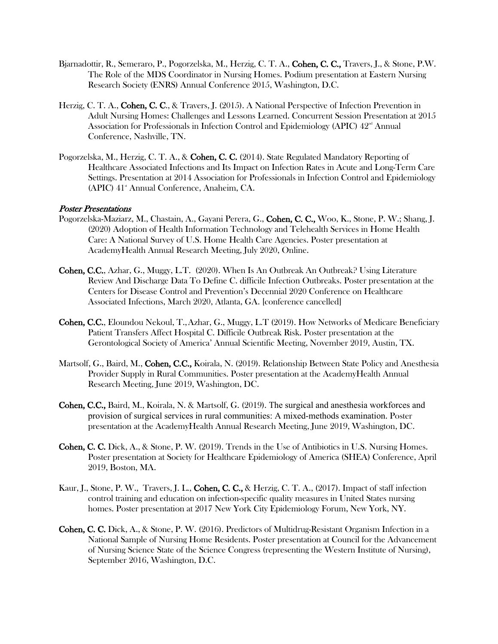- Bjarnadottir, R., Semeraro, P., Pogorzelska, M., Herzig, C. T. A., Cohen, C. C., Travers, J., & Stone, P.W. The Role of the MDS Coordinator in Nursing Homes. Podium presentation at Eastern Nursing Research Society (ENRS) Annual Conference 2015, Washington, D.C.
- Herzig, C. T. A., Cohen, C. C., & Travers, J. (2015). A National Perspective of Infection Prevention in Adult Nursing Homes: Challenges and Lessons Learned. Concurrent Session Presentation at 2015 Association for Professionals in Infection Control and Epidemiology (APIC)  $42<sup>nd</sup>$  Annual Conference, Nashville, TN.
- Pogorzelska, M., Herzig, C. T. A., & Cohen, C. C. (2014). State Regulated Mandatory Reporting of Healthcare Associated Infections and Its Impact on Infection Rates in Acute and Long-Term Care Settings. Presentation at 2014 Association for Professionals in Infection Control and Epidemiology (APIC) 41<sup>st</sup> Annual Conference, Anaheim, CA.

### Poster Presentations

- Pogorzelska-Maziarz, M., Chastain, A., Gayani Perera, G., Cohen, C. C., Woo, K., Stone, P. W.; Shang, J. (2020) Adoption of Health Information Technology and Telehealth Services in Home Health Care: A National Survey of U.S. Home Health Care Agencies. Poster presentation at AcademyHealth Annual Research Meeting, July 2020, Online.
- Cohen, C.C., Azhar, G., Muggy, L.T. (2020). When Is An Outbreak An Outbreak? Using Literature Review And Discharge Data To Define C. difficile Infection Outbreaks. Poster presentation at the Centers for Disease Control and Prevention's Decennial 2020 Conference on Healthcare Associated Infections, March 2020, Atlanta, GA. [conference cancelled]
- Cohen, C.C., Eloundou Nekoul, T.,Azhar, G., Muggy, L.T (2019). How Networks of Medicare Beneficiary Patient Transfers Affect Hospital C. Difficile Outbreak Risk. Poster presentation at the Gerontological Society of America' Annual Scientific Meeting, November 2019, Austin, TX.
- Martsolf, G., Baird, M., Cohen, C.C., Koirala, N. (2019). Relationship Between State Policy and Anesthesia Provider Supply in Rural Communities. Poster presentation at the AcademyHealth Annual Research Meeting, June 2019, Washington, DC.
- Cohen, C.C., Baird, M., Koirala, N. & Martsolf, G. (2019). The surgical and anesthesia workforces and provision of surgical services in rural communities: A mixed-methods examination. Poster presentation at the AcademyHealth Annual Research Meeting, June 2019, Washington, DC.
- Cohen, C. C. Dick, A., & Stone, P. W. (2019). Trends in the Use of Antibiotics in U.S. Nursing Homes. Poster presentation at Society for Healthcare Epidemiology of America (SHEA) Conference, April 2019, Boston, MA.
- Kaur, J., Stone, P. W., Travers, J. L., Cohen, C. C., & Herzig, C. T. A., (2017). Impact of staff infection control training and education on infection-specific quality measures in United States nursing homes. Poster presentation at 2017 New York City Epidemiology Forum, New York, NY.
- Cohen, C. C. Dick, A., & Stone, P. W. (2016). Predictors of Multidrug-Resistant Organism Infection in a National Sample of Nursing Home Residents. Poster presentation at Council for the Advancement of Nursing Science State of the Science Congress (representing the Western Institute of Nursing), September 2016, Washington, D.C.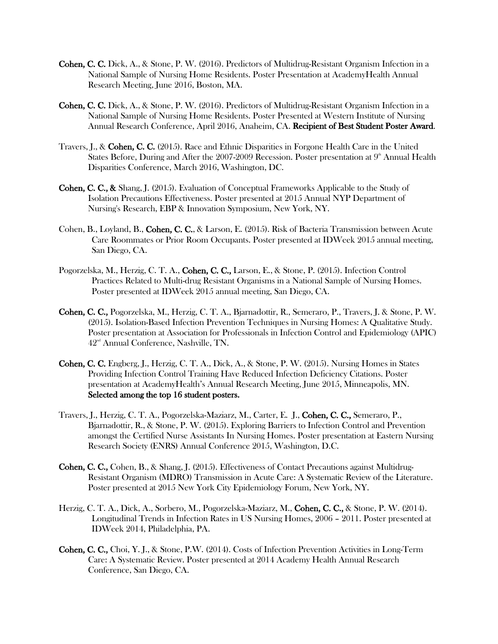- Cohen, C. C. Dick, A., & Stone, P. W. (2016). Predictors of Multidrug-Resistant Organism Infection in a National Sample of Nursing Home Residents. Poster Presentation at AcademyHealth Annual Research Meeting, June 2016, Boston, MA.
- Cohen, C. C. Dick, A., & Stone, P. W. (2016). Predictors of Multidrug-Resistant Organism Infection in a National Sample of Nursing Home Residents. Poster Presented at Western Institute of Nursing Annual Research Conference, April 2016, Anaheim, CA. Recipient of Best Student Poster Award.
- Travers, J., & Cohen, C. C. (2015). Race and Ethnic Disparities in Forgone Health Care in the United States Before, During and After the 2007-2009 Recession. Poster presentation at  $9<sup>th</sup>$  Annual Health Disparities Conference, March 2016, Washington, DC.
- Cohen, C. C., & Shang, J. (2015). Evaluation of Conceptual Frameworks Applicable to the Study of Isolation Precautions Effectiveness. Poster presented at 2015 Annual NYP Department of Nursing's Research, EBP & Innovation Symposium, New York, NY.
- Cohen, B., Loyland, B., Cohen, C. C., & Larson, E. (2015). Risk of Bacteria Transmission between Acute Care Roommates or Prior Room Occupants. Poster presented at IDWeek 2015 annual meeting, San Diego, CA.
- Pogorzelska, M., Herzig, C. T. A., Cohen, C. C., Larson, E., & Stone, P. (2015). Infection Control Practices Related to Multi-drug Resistant Organisms in a National Sample of Nursing Homes. Poster presented at IDWeek 2015 annual meeting, San Diego, CA.
- Cohen, C. C., Pogorzelska, M., Herzig, C. T. A., Bjarnadottir, R., Semeraro, P., Travers, J. & Stone, P. W. (2015). Isolation-Based Infection Prevention Techniques in Nursing Homes: A Qualitative Study. Poster presentation at Association for Professionals in Infection Control and Epidemiology (APIC)  $42<sup>nd</sup>$  Annual Conference, Nashville, TN.
- Cohen, C. C. Engberg, J., Herzig, C. T. A., Dick, A., & Stone, P. W. (2015). Nursing Homes in States Providing Infection Control Training Have Reduced Infection Deficiency Citations. Poster presentation at AcademyHealth's Annual Research Meeting, June 2015, Minneapolis, MN. Selected among the top 16 student posters.
- Travers, J., Herzig, C. T. A., Pogorzelska-Maziarz, M., Carter, E. J., Cohen, C. C., Semeraro, P., Bjarnadottir, R., & Stone, P. W. (2015). Exploring Barriers to Infection Control and Prevention amongst the Certified Nurse Assistants In Nursing Homes. Poster presentation at Eastern Nursing Research Society (ENRS) Annual Conference 2015, Washington, D.C.
- Cohen, C. C., Cohen, B., & Shang, J. (2015). Effectiveness of Contact Precautions against Multidrug-Resistant Organism (MDRO) Transmission in Acute Care: A Systematic Review of the Literature. Poster presented at 2015 New York City Epidemiology Forum, New York, NY.
- Herzig, C. T. A., Dick, A., Sorbero, M., Pogorzelska-Maziarz, M., Cohen, C. C., & Stone, P. W. (2014). Longitudinal Trends in Infection Rates in US Nursing Homes, 2006 – 2011. Poster presented at IDWeek 2014, Philadelphia, PA.
- Cohen, C. C., Choi, Y. J., & Stone, P.W. (2014). Costs of Infection Prevention Activities in Long-Term Care: A Systematic Review. Poster presented at 2014 Academy Health Annual Research Conference, San Diego, CA.